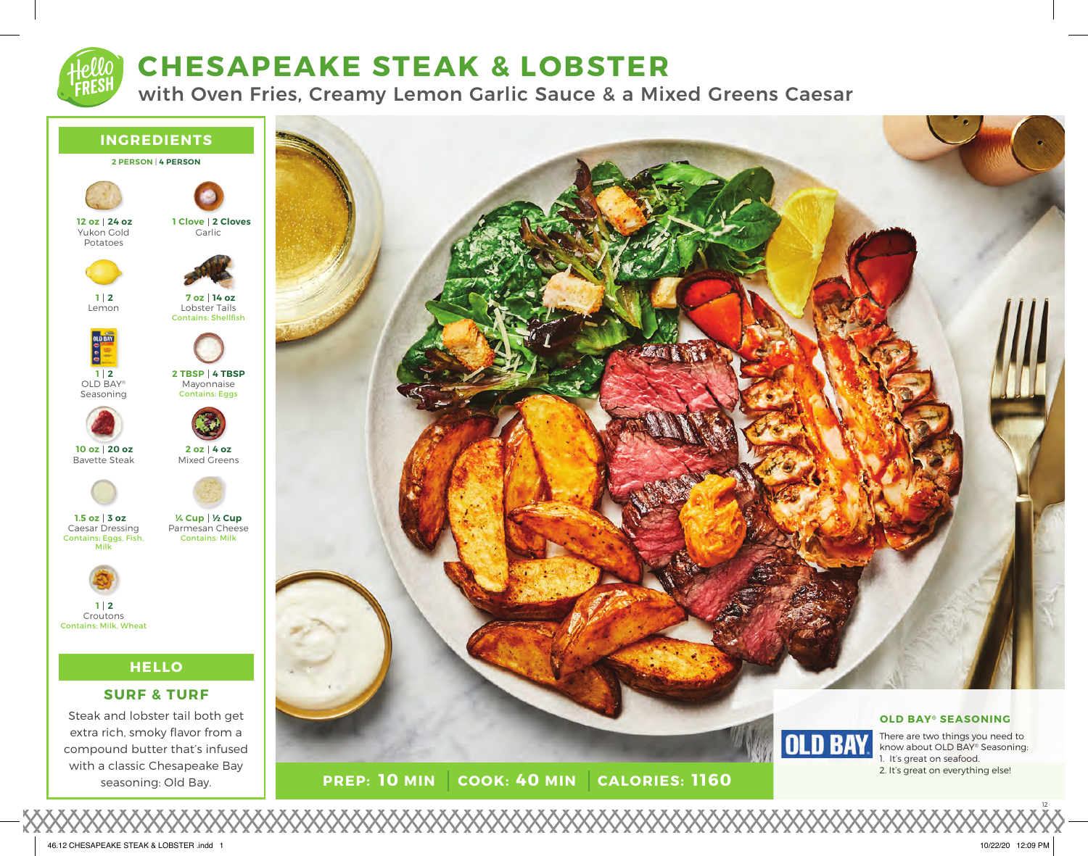## **CHESAPEAKE STEAK & LOBSTER**

with Oven Fries, Creamy Lemon Garlic Sauce & a Mixed Greens Caesar

### **INGREDIENTS 2 PERSON** | **4 PERSON HELLO SURF & TURF** Contains: Eggs, Fish, Contains: Milk, Wheat Garlic Lobster Tails Contains: Shellfish Mayonnaise Contains: Eggs Mixed Greens Parmesan Cheese Contains: Milk **2 Cloves 1 Clove 14 oz 7 oz 4 TBSP 2 TBSP 4 oz 2 oz ½ Cup ¼ Cup**

Steak and lobster tail both get extra rich, smoky flavor from a compound butter that's infused with a classic Chesapeake Bay seasoning: Old Bay.



**PREP: 10 MIN COOK: 40 MIN CALORIES: 1160**

Yukon Gold Potatoes

**24 oz 12 oz**

Lemon

**2 1**

OLD BAY® Seasoning

**OLDBAY** 

**2 1**

Bavette Steak

**20 oz 10 oz**

Caesar Dressing

**3 oz 1.5 oz**

**Mill** 

Croutons

**2 1**

12